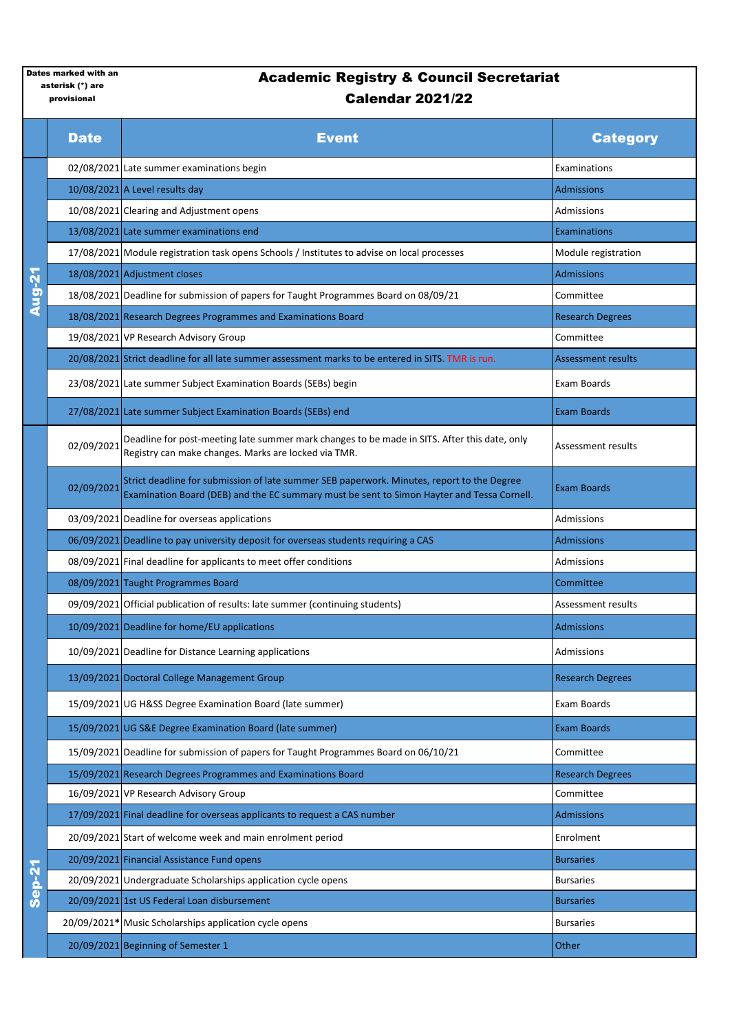## provisional

## Academic Registry & Council Secretariat Calendar 2021/22

|               | <b>Date</b> | <b>Event</b>                                                                                                                                                                             | <b>Category</b>         |
|---------------|-------------|------------------------------------------------------------------------------------------------------------------------------------------------------------------------------------------|-------------------------|
| <b>Aug-21</b> |             | 02/08/2021 Late summer examinations begin                                                                                                                                                | Examinations            |
|               |             | 10/08/2021 A Level results day                                                                                                                                                           | <b>Admissions</b>       |
|               |             | 10/08/2021 Clearing and Adjustment opens                                                                                                                                                 | Admissions              |
|               |             | 13/08/2021 Late summer examinations end                                                                                                                                                  | Examinations            |
|               |             | 17/08/2021 Module registration task opens Schools / Institutes to advise on local processes                                                                                              | Module registration     |
|               |             | 18/08/2021 Adjustment closes                                                                                                                                                             | <b>Admissions</b>       |
|               |             | 18/08/2021 Deadline for submission of papers for Taught Programmes Board on 08/09/21                                                                                                     | Committee               |
|               |             | 18/08/2021 Research Degrees Programmes and Examinations Board                                                                                                                            | <b>Research Degrees</b> |
|               |             | 19/08/2021 VP Research Advisory Group                                                                                                                                                    | Committee               |
|               |             | 20/08/2021 Strict deadline for all late summer assessment marks to be entered in SITS. TMR is run.                                                                                       | Assessment results      |
|               |             | 23/08/2021 Late summer Subject Examination Boards (SEBs) begin                                                                                                                           | Exam Boards             |
|               |             | 27/08/2021 Late summer Subject Examination Boards (SEBs) end                                                                                                                             | <b>Exam Boards</b>      |
|               | 02/09/2021  | Deadline for post-meeting late summer mark changes to be made in SITS. After this date, only<br>Registry can make changes. Marks are locked via TMR.                                     | Assessment results      |
|               | 02/09/2021  | Strict deadline for submission of late summer SEB paperwork. Minutes, report to the Degree<br>Examination Board (DEB) and the EC summary must be sent to Simon Hayter and Tessa Cornell. | <b>Exam Boards</b>      |
|               |             | 03/09/2021 Deadline for overseas applications                                                                                                                                            | Admissions              |
|               |             | 06/09/2021 Deadline to pay university deposit for overseas students requiring a CAS                                                                                                      | <b>Admissions</b>       |
|               |             | 08/09/2021 Final deadline for applicants to meet offer conditions                                                                                                                        | Admissions              |
|               |             | 08/09/2021 Taught Programmes Board                                                                                                                                                       | Committee               |
|               |             | 09/09/2021 Official publication of results: late summer (continuing students)                                                                                                            | Assessment results      |
|               |             | 10/09/2021 Deadline for home/EU applications                                                                                                                                             | <b>Admissions</b>       |
|               |             | 10/09/2021 Deadline for Distance Learning applications                                                                                                                                   | Admissions              |
|               |             | 13/09/2021 Doctoral College Management Group                                                                                                                                             | <b>Research Degrees</b> |
|               |             | 15/09/2021 UG H&SS Degree Examination Board (late summer)                                                                                                                                | Exam Boards             |
|               |             | 15/09/2021 UG S&E Degree Examination Board (late summer)                                                                                                                                 | <b>Exam Boards</b>      |
|               |             | 15/09/2021 Deadline for submission of papers for Taught Programmes Board on 06/10/21                                                                                                     | Committee               |
|               |             | 15/09/2021 Research Degrees Programmes and Examinations Board                                                                                                                            | <b>Research Degrees</b> |
|               |             | 16/09/2021 VP Research Advisory Group                                                                                                                                                    | Committee               |
|               |             | 17/09/2021 Final deadline for overseas applicants to request a CAS number                                                                                                                | <b>Admissions</b>       |
|               |             | 20/09/2021 Start of welcome week and main enrolment period                                                                                                                               | Enrolment               |
|               |             | 20/09/2021 Financial Assistance Fund opens                                                                                                                                               | <b>Bursaries</b>        |
| <b>Sep-21</b> |             | 20/09/2021 Undergraduate Scholarships application cycle opens                                                                                                                            | <b>Bursaries</b>        |
|               |             | 20/09/2021 1st US Federal Loan disbursement                                                                                                                                              | <b>Bursaries</b>        |
|               |             | 20/09/2021* Music Scholarships application cycle opens                                                                                                                                   | <b>Bursaries</b>        |
|               |             | 20/09/2021 Beginning of Semester 1                                                                                                                                                       | Other                   |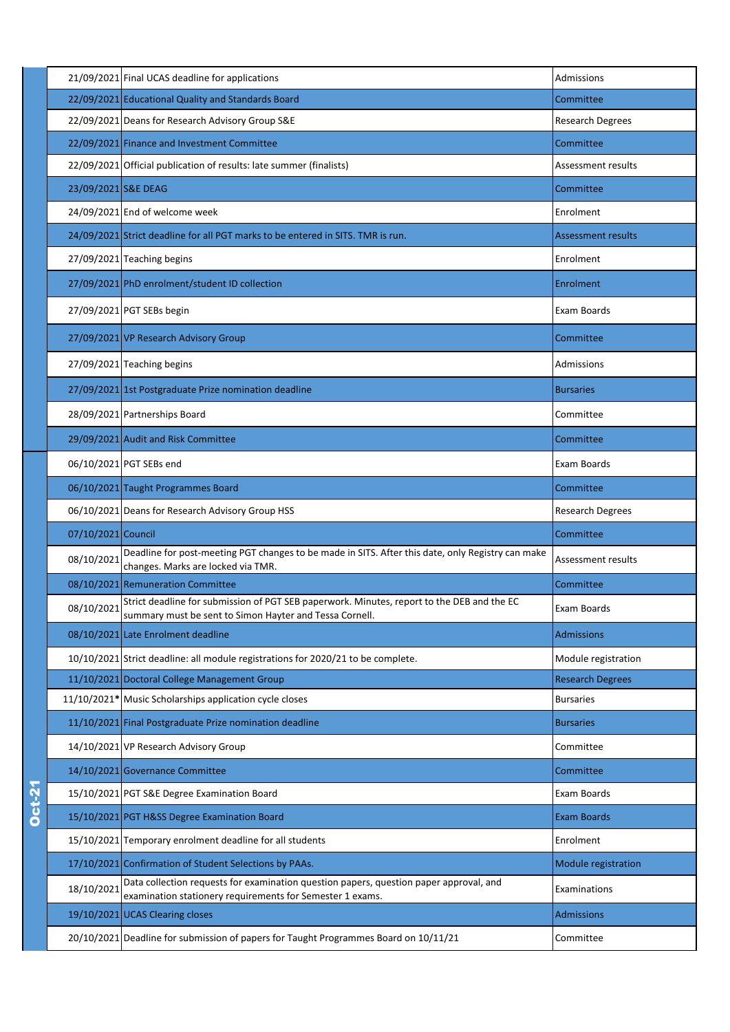|               |                     | 21/09/2021 Final UCAS deadline for applications                                                                                                       | Admissions              |
|---------------|---------------------|-------------------------------------------------------------------------------------------------------------------------------------------------------|-------------------------|
|               |                     | 22/09/2021 Educational Quality and Standards Board                                                                                                    | Committee               |
|               |                     | 22/09/2021 Deans for Research Advisory Group S&E                                                                                                      | Research Degrees        |
|               |                     | 22/09/2021 Finance and Investment Committee                                                                                                           | Committee               |
|               |                     | 22/09/2021 Official publication of results: late summer (finalists)                                                                                   | Assessment results      |
|               | 23/09/2021 S&E DEAG |                                                                                                                                                       | Committee               |
|               |                     | 24/09/2021 End of welcome week                                                                                                                        | Enrolment               |
|               |                     | 24/09/2021 Strict deadline for all PGT marks to be entered in SITS. TMR is run.                                                                       | Assessment results      |
|               |                     | 27/09/2021 Teaching begins                                                                                                                            | Enrolment               |
|               |                     | 27/09/2021 PhD enrolment/student ID collection                                                                                                        | Enrolment               |
|               |                     | 27/09/2021 PGT SEBs begin                                                                                                                             | Exam Boards             |
|               |                     | 27/09/2021 VP Research Advisory Group                                                                                                                 | Committee               |
|               |                     | 27/09/2021 Teaching begins                                                                                                                            | Admissions              |
|               |                     | 27/09/2021 1st Postgraduate Prize nomination deadline                                                                                                 | <b>Bursaries</b>        |
|               |                     | 28/09/2021 Partnerships Board                                                                                                                         | Committee               |
|               |                     | 29/09/2021 Audit and Risk Committee                                                                                                                   | Committee               |
|               |                     | 06/10/2021 PGT SEBs end                                                                                                                               | Exam Boards             |
|               |                     | 06/10/2021 Taught Programmes Board                                                                                                                    | Committee               |
|               |                     | 06/10/2021 Deans for Research Advisory Group HSS                                                                                                      | <b>Research Degrees</b> |
|               | 07/10/2021 Council  |                                                                                                                                                       | Committee               |
|               | 08/10/2021          | Deadline for post-meeting PGT changes to be made in SITS. After this date, only Registry can make<br>changes. Marks are locked via TMR.               | Assessment results      |
|               |                     | 08/10/2021 Remuneration Committee                                                                                                                     | Committee               |
|               | 08/10/2021          | Strict deadline for submission of PGT SEB paperwork. Minutes, report to the DEB and the EC<br>summary must be sent to Simon Hayter and Tessa Cornell. | Exam Boards             |
|               |                     | 08/10/2021 Late Enrolment deadline                                                                                                                    | <b>Admissions</b>       |
|               |                     | 10/10/2021 Strict deadline: all module registrations for 2020/21 to be complete.                                                                      | Module registration     |
|               |                     | 11/10/2021 Doctoral College Management Group                                                                                                          | <b>Research Degrees</b> |
|               |                     | 11/10/2021* Music Scholarships application cycle closes                                                                                               | <b>Bursaries</b>        |
|               |                     | 11/10/2021 Final Postgraduate Prize nomination deadline                                                                                               | <b>Bursaries</b>        |
|               |                     | 14/10/2021 VP Research Advisory Group                                                                                                                 | Committee               |
|               |                     | 14/10/2021 Governance Committee                                                                                                                       | Committee               |
| <b>Dct-21</b> |                     | 15/10/2021 PGT S&E Degree Examination Board                                                                                                           | Exam Boards             |
|               |                     | 15/10/2021 PGT H&SS Degree Examination Board                                                                                                          | Exam Boards             |
|               |                     | 15/10/2021 Temporary enrolment deadline for all students                                                                                              | Enrolment               |
|               |                     | 17/10/2021 Confirmation of Student Selections by PAAs.                                                                                                | Module registration     |
|               | 18/10/2021          | Data collection requests for examination question papers, question paper approval, and<br>examination stationery requirements for Semester 1 exams.   | Examinations            |
|               |                     | 19/10/2021 UCAS Clearing closes                                                                                                                       | <b>Admissions</b>       |
|               |                     | 20/10/2021 Deadline for submission of papers for Taught Programmes Board on 10/11/21                                                                  | Committee               |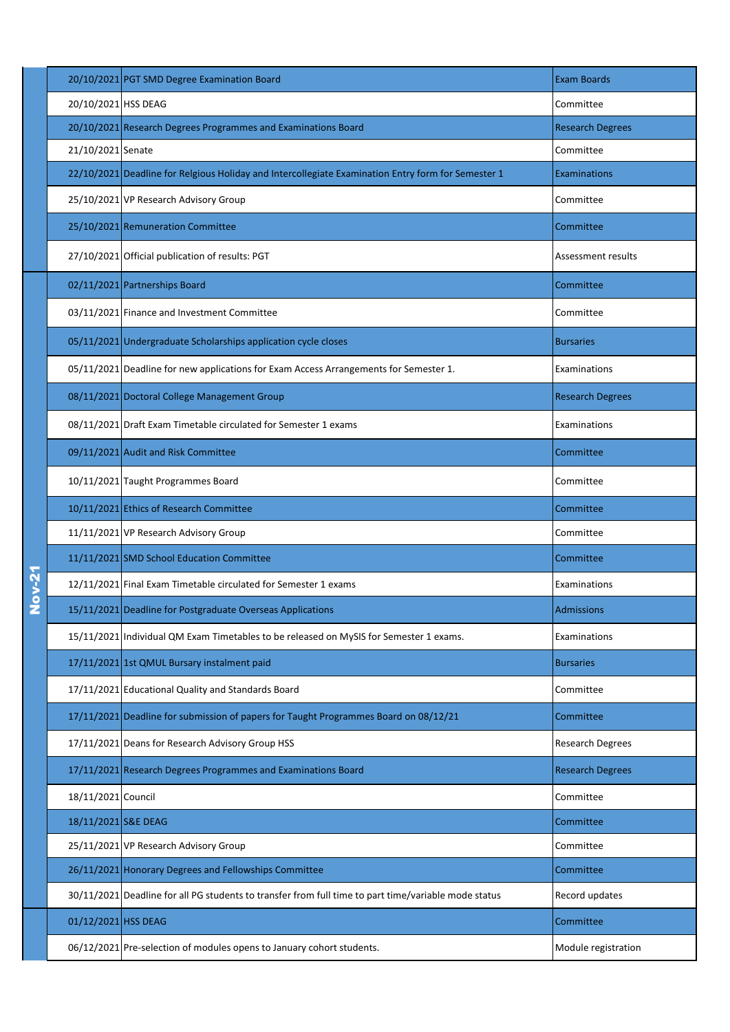|             |                     | 20/10/2021 PGT SMD Degree Examination Board                                                          | <b>Exam Boards</b>      |
|-------------|---------------------|------------------------------------------------------------------------------------------------------|-------------------------|
|             | 20/10/2021 HSS DEAG |                                                                                                      | Committee               |
|             |                     | 20/10/2021 Research Degrees Programmes and Examinations Board                                        | <b>Research Degrees</b> |
|             | 21/10/2021 Senate   |                                                                                                      | Committee               |
|             |                     | 22/10/2021 Deadline for Relgious Holiday and Intercollegiate Examination Entry form for Semester 1   | <b>Examinations</b>     |
|             |                     | 25/10/2021 VP Research Advisory Group                                                                | Committee               |
|             |                     | 25/10/2021 Remuneration Committee                                                                    | Committee               |
|             |                     | 27/10/2021 Official publication of results: PGT                                                      | Assessment results      |
|             |                     | 02/11/2021 Partnerships Board                                                                        | Committee               |
|             |                     | 03/11/2021 Finance and Investment Committee                                                          | Committee               |
|             |                     | 05/11/2021 Undergraduate Scholarships application cycle closes                                       | <b>Bursaries</b>        |
|             |                     | 05/11/2021 Deadline for new applications for Exam Access Arrangements for Semester 1.                | Examinations            |
|             |                     | 08/11/2021 Doctoral College Management Group                                                         | <b>Research Degrees</b> |
|             |                     | 08/11/2021 Draft Exam Timetable circulated for Semester 1 exams                                      | Examinations            |
|             |                     | 09/11/2021 Audit and Risk Committee                                                                  | Committee               |
|             |                     | 10/11/2021 Taught Programmes Board                                                                   | Committee               |
|             |                     | 10/11/2021 Ethics of Research Committee                                                              | Committee               |
|             |                     | 11/11/2021 VP Research Advisory Group                                                                | Committee               |
|             |                     | 11/11/2021 SMD School Education Committee                                                            | Committee               |
| <b>2-vo</b> |                     | 12/11/2021 Final Exam Timetable circulated for Semester 1 exams                                      | Examinations            |
|             |                     | 15/11/2021 Deadline for Postgraduate Overseas Applications                                           | <b>Admissions</b>       |
|             |                     | 15/11/2021 Individual QM Exam Timetables to be released on MySIS for Semester 1 exams.               | Examinations            |
|             |                     | 17/11/2021 1st QMUL Bursary instalment paid                                                          | <b>Bursaries</b>        |
|             |                     | 17/11/2021 Educational Quality and Standards Board                                                   | Committee               |
|             |                     | 17/11/2021 Deadline for submission of papers for Taught Programmes Board on 08/12/21                 | Committee               |
|             |                     | 17/11/2021 Deans for Research Advisory Group HSS                                                     | Research Degrees        |
|             |                     | 17/11/2021 Research Degrees Programmes and Examinations Board                                        | <b>Research Degrees</b> |
|             | 18/11/2021 Council  |                                                                                                      | Committee               |
|             | 18/11/2021 S&E DEAG |                                                                                                      | Committee               |
|             |                     | 25/11/2021 VP Research Advisory Group                                                                | Committee               |
|             |                     | 26/11/2021 Honorary Degrees and Fellowships Committee                                                | Committee               |
|             |                     | 30/11/2021 Deadline for all PG students to transfer from full time to part time/variable mode status | Record updates          |
|             | 01/12/2021 HSS DEAG |                                                                                                      | Committee               |
|             |                     | 06/12/2021 Pre-selection of modules opens to January cohort students.                                | Module registration     |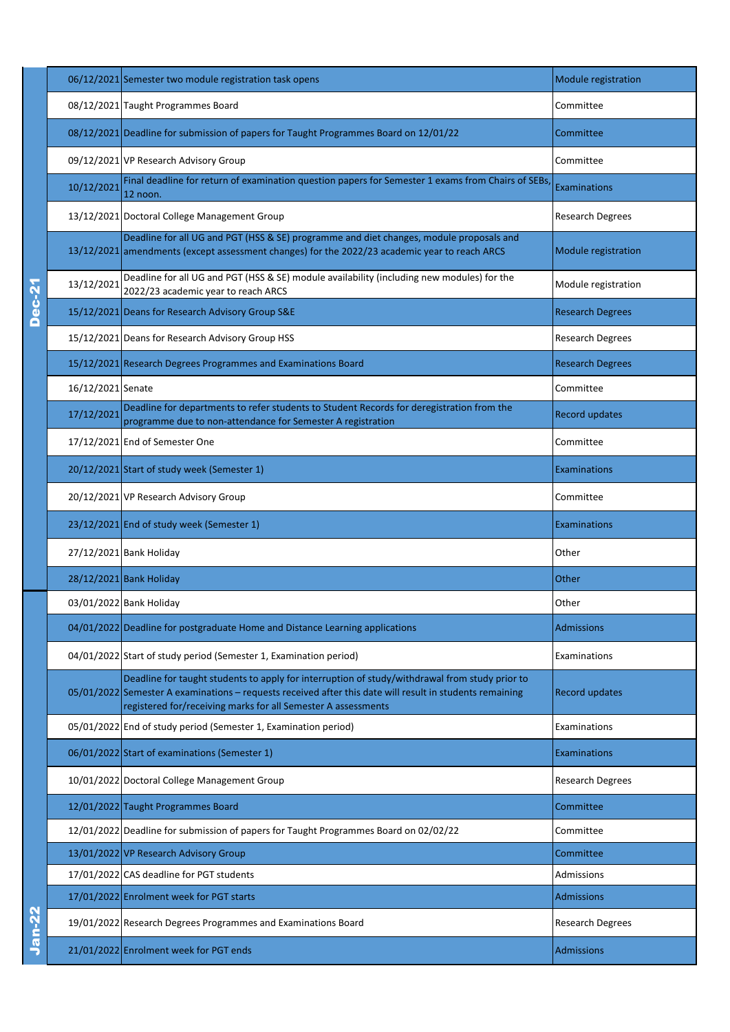|        |                   | 06/12/2021 Semester two module registration task opens                                                                                                                                                                                                                      | <b>Module registration</b> |
|--------|-------------------|-----------------------------------------------------------------------------------------------------------------------------------------------------------------------------------------------------------------------------------------------------------------------------|----------------------------|
|        |                   | 08/12/2021 Taught Programmes Board                                                                                                                                                                                                                                          | Committee                  |
|        |                   | 08/12/2021 Deadline for submission of papers for Taught Programmes Board on 12/01/22                                                                                                                                                                                        | Committee                  |
|        |                   | 09/12/2021 VP Research Advisory Group                                                                                                                                                                                                                                       | Committee                  |
|        | 10/12/2021        | Final deadline for return of examination question papers for Semester 1 exams from Chairs of SEBs<br>12 noon.                                                                                                                                                               | <b>Examinations</b>        |
|        |                   | 13/12/2021 Doctoral College Management Group                                                                                                                                                                                                                                | <b>Research Degrees</b>    |
|        |                   | Deadline for all UG and PGT (HSS & SE) programme and diet changes, module proposals and<br>13/12/2021 amendments (except assessment changes) for the 2022/23 academic year to reach ARCS                                                                                    | <b>Module registration</b> |
|        | 13/12/2021        | Deadline for all UG and PGT (HSS & SE) module availability (including new modules) for the<br>2022/23 academic year to reach ARCS                                                                                                                                           | Module registration        |
| Dec-2  |                   | 15/12/2021 Deans for Research Advisory Group S&E                                                                                                                                                                                                                            | <b>Research Degrees</b>    |
|        |                   | 15/12/2021 Deans for Research Advisory Group HSS                                                                                                                                                                                                                            | <b>Research Degrees</b>    |
|        |                   | 15/12/2021 Research Degrees Programmes and Examinations Board                                                                                                                                                                                                               | <b>Research Degrees</b>    |
|        | 16/12/2021 Senate |                                                                                                                                                                                                                                                                             | Committee                  |
|        | 17/12/2021        | Deadline for departments to refer students to Student Records for deregistration from the<br>programme due to non-attendance for Semester A registration                                                                                                                    | <b>Record updates</b>      |
|        |                   | 17/12/2021 End of Semester One                                                                                                                                                                                                                                              | Committee                  |
|        |                   | 20/12/2021 Start of study week (Semester 1)                                                                                                                                                                                                                                 | <b>Examinations</b>        |
|        |                   | 20/12/2021 VP Research Advisory Group                                                                                                                                                                                                                                       | Committee                  |
|        |                   | 23/12/2021 End of study week (Semester 1)                                                                                                                                                                                                                                   |                            |
|        |                   |                                                                                                                                                                                                                                                                             | Examinations               |
|        |                   | 27/12/2021 Bank Holiday                                                                                                                                                                                                                                                     | Other                      |
|        |                   | 28/12/2021 Bank Holiday                                                                                                                                                                                                                                                     | Other                      |
|        |                   | 03/01/2022 Bank Holiday                                                                                                                                                                                                                                                     | Other                      |
|        |                   | 04/01/2022 Deadline for postgraduate Home and Distance Learning applications                                                                                                                                                                                                | Admissions                 |
|        |                   | 04/01/2022 Start of study period (Semester 1, Examination period)                                                                                                                                                                                                           | Examinations               |
|        |                   | Deadline for taught students to apply for interruption of study/withdrawal from study prior to<br>05/01/2022 Semester A examinations - requests received after this date will result in students remaining<br>registered for/receiving marks for all Semester A assessments | <b>Record updates</b>      |
|        |                   | 05/01/2022 End of study period (Semester 1, Examination period)                                                                                                                                                                                                             | Examinations               |
|        |                   | 06/01/2022 Start of examinations (Semester 1)                                                                                                                                                                                                                               | <b>Examinations</b>        |
|        |                   | 10/01/2022 Doctoral College Management Group                                                                                                                                                                                                                                | <b>Research Degrees</b>    |
|        |                   | 12/01/2022 Taught Programmes Board                                                                                                                                                                                                                                          | Committee                  |
|        |                   | 12/01/2022 Deadline for submission of papers for Taught Programmes Board on 02/02/22                                                                                                                                                                                        | Committee                  |
|        |                   | 13/01/2022 VP Research Advisory Group                                                                                                                                                                                                                                       | Committee                  |
|        |                   | 17/01/2022 CAS deadline for PGT students                                                                                                                                                                                                                                    | Admissions                 |
|        |                   | 17/01/2022 Enrolment week for PGT starts                                                                                                                                                                                                                                    | Admissions                 |
| Jan-22 |                   | 19/01/2022 Research Degrees Programmes and Examinations Board                                                                                                                                                                                                               | <b>Research Degrees</b>    |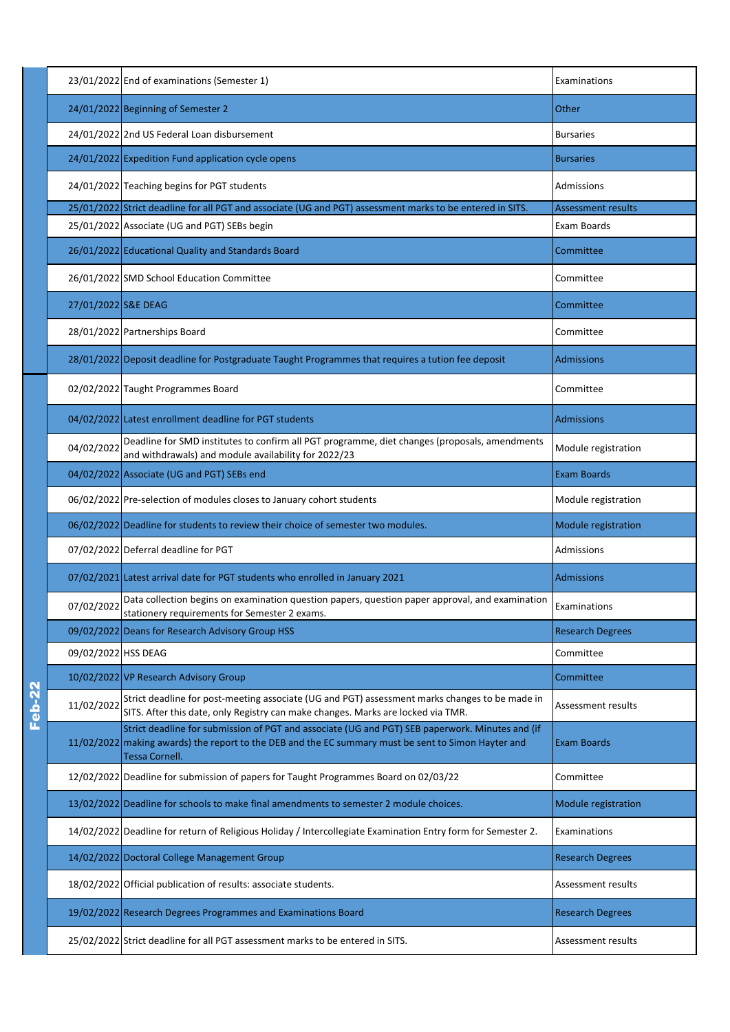|          |                     | 23/01/2022 End of examinations (Semester 1)                                                                                                                                                                              | Examinations              |
|----------|---------------------|--------------------------------------------------------------------------------------------------------------------------------------------------------------------------------------------------------------------------|---------------------------|
|          |                     | 24/01/2022 Beginning of Semester 2                                                                                                                                                                                       | Other                     |
|          |                     | 24/01/2022 2nd US Federal Loan disbursement                                                                                                                                                                              | <b>Bursaries</b>          |
|          |                     | 24/01/2022 Expedition Fund application cycle opens                                                                                                                                                                       | <b>Bursaries</b>          |
|          |                     | 24/01/2022 Teaching begins for PGT students                                                                                                                                                                              | Admissions                |
|          |                     | 25/01/2022 Strict deadline for all PGT and associate (UG and PGT) assessment marks to be entered in SITS.                                                                                                                | <b>Assessment results</b> |
|          |                     | 25/01/2022 Associate (UG and PGT) SEBs begin                                                                                                                                                                             | Exam Boards               |
|          |                     | 26/01/2022 Educational Quality and Standards Board                                                                                                                                                                       | Committee                 |
|          |                     | 26/01/2022 SMD School Education Committee                                                                                                                                                                                | Committee                 |
|          | 27/01/2022 S&E DEAG |                                                                                                                                                                                                                          | Committee                 |
|          |                     | 28/01/2022 Partnerships Board                                                                                                                                                                                            | Committee                 |
|          |                     | 28/01/2022 Deposit deadline for Postgraduate Taught Programmes that requires a tution fee deposit                                                                                                                        | <b>Admissions</b>         |
|          |                     | 02/02/2022 Taught Programmes Board                                                                                                                                                                                       | Committee                 |
|          |                     | 04/02/2022 Latest enrollment deadline for PGT students                                                                                                                                                                   | <b>Admissions</b>         |
|          | 04/02/2022          | Deadline for SMD institutes to confirm all PGT programme, diet changes (proposals, amendments<br>and withdrawals) and module availability for 2022/23                                                                    | Module registration       |
|          |                     | 04/02/2022 Associate (UG and PGT) SEBs end                                                                                                                                                                               | <b>Exam Boards</b>        |
|          |                     | 06/02/2022 Pre-selection of modules closes to January cohort students                                                                                                                                                    | Module registration       |
|          |                     | 06/02/2022 Deadline for students to review their choice of semester two modules.                                                                                                                                         | Module registration       |
|          |                     | 07/02/2022 Deferral deadline for PGT                                                                                                                                                                                     | Admissions                |
|          |                     | 07/02/2021 Latest arrival date for PGT students who enrolled in January 2021                                                                                                                                             | <b>Admissions</b>         |
|          | 07/02/2022          | Data collection begins on examination question papers, question paper approval, and examination<br>stationery requirements for Semester 2 exams.                                                                         | Examinations              |
|          |                     | 09/02/2022 Deans for Research Advisory Group HSS                                                                                                                                                                         | <b>Research Degrees</b>   |
|          | 09/02/2022 HSS DEAG |                                                                                                                                                                                                                          | Committee                 |
|          |                     | 10/02/2022 VP Research Advisory Group                                                                                                                                                                                    | Committee                 |
| $Feb-22$ | 11/02/2022          | Strict deadline for post-meeting associate (UG and PGT) assessment marks changes to be made in<br>SITS. After this date, only Registry can make changes. Marks are locked via TMR.                                       | Assessment results        |
|          |                     | Strict deadline for submission of PGT and associate (UG and PGT) SEB paperwork. Minutes and (if<br>11/02/2022 making awards) the report to the DEB and the EC summary must be sent to Simon Hayter and<br>Tessa Cornell. | <b>Exam Boards</b>        |
|          |                     | 12/02/2022 Deadline for submission of papers for Taught Programmes Board on 02/03/22                                                                                                                                     | Committee                 |
|          |                     | 13/02/2022 Deadline for schools to make final amendments to semester 2 module choices.                                                                                                                                   | Module registration       |
|          |                     | 14/02/2022   Deadline for return of Religious Holiday / Intercollegiate Examination Entry form for Semester 2.                                                                                                           | Examinations              |
|          |                     | 14/02/2022 Doctoral College Management Group                                                                                                                                                                             | <b>Research Degrees</b>   |
|          |                     | 18/02/2022 Official publication of results: associate students.                                                                                                                                                          | Assessment results        |
|          |                     | 19/02/2022 Research Degrees Programmes and Examinations Board                                                                                                                                                            | <b>Research Degrees</b>   |
|          |                     | 25/02/2022 Strict deadline for all PGT assessment marks to be entered in SITS.                                                                                                                                           | Assessment results        |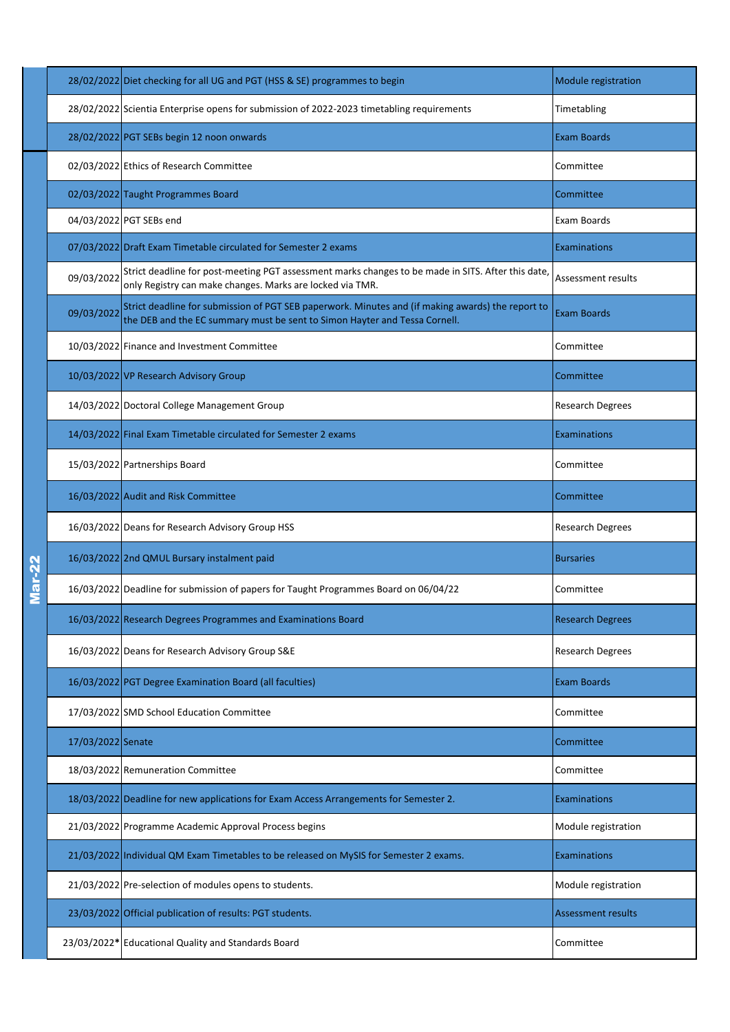|   |                   | 28/02/2022 Diet checking for all UG and PGT (HSS & SE) programmes to begin                                                                                                      | Module registration       |
|---|-------------------|---------------------------------------------------------------------------------------------------------------------------------------------------------------------------------|---------------------------|
|   |                   | 28/02/2022 Scientia Enterprise opens for submission of 2022-2023 timetabling requirements                                                                                       | Timetabling               |
|   |                   | 28/02/2022 PGT SEBs begin 12 noon onwards                                                                                                                                       | <b>Exam Boards</b>        |
|   |                   | 02/03/2022 Ethics of Research Committee                                                                                                                                         | Committee                 |
|   |                   | 02/03/2022 Taught Programmes Board                                                                                                                                              | Committee                 |
|   |                   | 04/03/2022 PGT SEBs end                                                                                                                                                         | Exam Boards               |
|   |                   | 07/03/2022 Draft Exam Timetable circulated for Semester 2 exams                                                                                                                 | Examinations              |
|   | 09/03/2022        | Strict deadline for post-meeting PGT assessment marks changes to be made in SITS. After this date,<br>only Registry can make changes. Marks are locked via TMR.                 | Assessment results        |
|   | 09/03/2022        | Strict deadline for submission of PGT SEB paperwork. Minutes and (if making awards) the report to<br>the DEB and the EC summary must be sent to Simon Hayter and Tessa Cornell. | <b>Exam Boards</b>        |
|   |                   | 10/03/2022 Finance and Investment Committee                                                                                                                                     | Committee                 |
|   |                   | 10/03/2022 VP Research Advisory Group                                                                                                                                           | Committee                 |
|   |                   | 14/03/2022 Doctoral College Management Group                                                                                                                                    | <b>Research Degrees</b>   |
|   |                   | 14/03/2022 Final Exam Timetable circulated for Semester 2 exams                                                                                                                 | <b>Examinations</b>       |
|   |                   | 15/03/2022 Partnerships Board                                                                                                                                                   | Committee                 |
|   |                   | 16/03/2022 Audit and Risk Committee                                                                                                                                             | Committee                 |
|   |                   | 16/03/2022 Deans for Research Advisory Group HSS                                                                                                                                | <b>Research Degrees</b>   |
| į |                   | 16/03/2022 2nd QMUL Bursary instalment paid                                                                                                                                     | Bursaries                 |
|   |                   | 16/03/2022 Deadline for submission of papers for Taught Programmes Board on 06/04/22                                                                                            | Committee                 |
|   |                   | 16/03/2022 Research Degrees Programmes and Examinations Board                                                                                                                   | <b>Research Degrees</b>   |
|   |                   | 16/03/2022 Deans for Research Advisory Group S&E                                                                                                                                | <b>Research Degrees</b>   |
|   |                   | 16/03/2022 PGT Degree Examination Board (all faculties)                                                                                                                         | <b>Exam Boards</b>        |
|   |                   | 17/03/2022 SMD School Education Committee                                                                                                                                       | Committee                 |
|   | 17/03/2022 Senate |                                                                                                                                                                                 | Committee                 |
|   |                   | 18/03/2022 Remuneration Committee                                                                                                                                               | Committee                 |
|   |                   | 18/03/2022 Deadline for new applications for Exam Access Arrangements for Semester 2.                                                                                           | Examinations              |
|   |                   | 21/03/2022 Programme Academic Approval Process begins                                                                                                                           | Module registration       |
|   |                   | 21/03/2022 Individual QM Exam Timetables to be released on MySIS for Semester 2 exams.                                                                                          | Examinations              |
|   |                   | 21/03/2022 Pre-selection of modules opens to students.                                                                                                                          | Module registration       |
|   |                   | 23/03/2022 Official publication of results: PGT students.                                                                                                                       | <b>Assessment results</b> |
|   |                   | 23/03/2022* Educational Quality and Standards Board                                                                                                                             | Committee                 |

Mar-22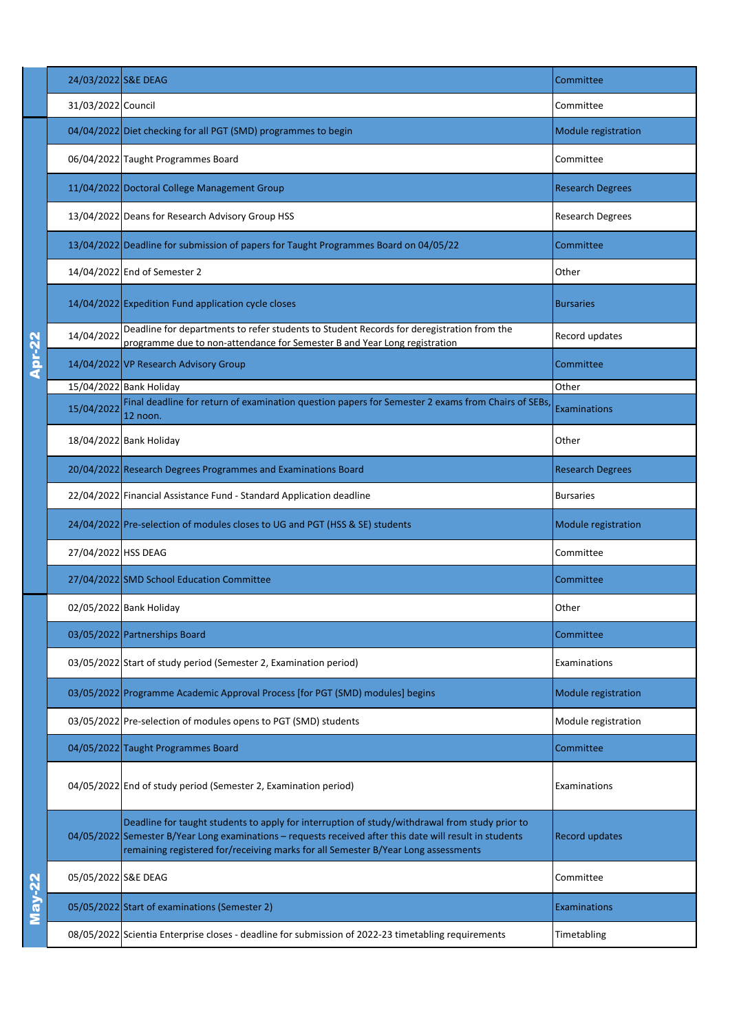|               | 24/03/2022 S&E DEAG |                                                                                                                                                                                                                                                                                                 | Committee               |
|---------------|---------------------|-------------------------------------------------------------------------------------------------------------------------------------------------------------------------------------------------------------------------------------------------------------------------------------------------|-------------------------|
|               | 31/03/2022 Council  |                                                                                                                                                                                                                                                                                                 | Committee               |
|               |                     | 04/04/2022 Diet checking for all PGT (SMD) programmes to begin                                                                                                                                                                                                                                  | Module registration     |
|               |                     | 06/04/2022 Taught Programmes Board                                                                                                                                                                                                                                                              | Committee               |
|               |                     | 11/04/2022 Doctoral College Management Group                                                                                                                                                                                                                                                    | <b>Research Degrees</b> |
|               |                     | 13/04/2022 Deans for Research Advisory Group HSS                                                                                                                                                                                                                                                | Research Degrees        |
|               |                     | 13/04/2022 Deadline for submission of papers for Taught Programmes Board on 04/05/22                                                                                                                                                                                                            | Committee               |
|               |                     | 14/04/2022 End of Semester 2                                                                                                                                                                                                                                                                    | Other                   |
|               |                     | 14/04/2022 Expedition Fund application cycle closes                                                                                                                                                                                                                                             | <b>Bursaries</b>        |
|               | 14/04/2022          | Deadline for departments to refer students to Student Records for deregistration from the<br>programme due to non-attendance for Semester B and Year Long registration                                                                                                                          | Record updates          |
| <b>Apr-22</b> |                     | 14/04/2022 VP Research Advisory Group                                                                                                                                                                                                                                                           | Committee               |
|               |                     | 15/04/2022 Bank Holiday                                                                                                                                                                                                                                                                         | Other                   |
|               | 15/04/2022          | Final deadline for return of examination question papers for Semester 2 exams from Chairs of SEBs<br>12 noon.                                                                                                                                                                                   | <b>Examinations</b>     |
|               |                     | 18/04/2022 Bank Holiday                                                                                                                                                                                                                                                                         | Other                   |
|               |                     | 20/04/2022 Research Degrees Programmes and Examinations Board                                                                                                                                                                                                                                   | <b>Research Degrees</b> |
|               |                     | 22/04/2022 Financial Assistance Fund - Standard Application deadline                                                                                                                                                                                                                            | <b>Bursaries</b>        |
|               |                     | 24/04/2022 Pre-selection of modules closes to UG and PGT (HSS & SE) students                                                                                                                                                                                                                    | Module registration     |
|               | 27/04/2022 HSS DEAG |                                                                                                                                                                                                                                                                                                 | Committee               |
|               |                     | 27/04/2022 SMD School Education Committee                                                                                                                                                                                                                                                       | Committee               |
|               |                     | 02/05/2022 Bank Holiday                                                                                                                                                                                                                                                                         | Other                   |
|               |                     | 03/05/2022 Partnerships Board                                                                                                                                                                                                                                                                   | Committee               |
|               |                     | 03/05/2022 Start of study period (Semester 2, Examination period)                                                                                                                                                                                                                               | Examinations            |
|               |                     | 03/05/2022 Programme Academic Approval Process [for PGT (SMD) modules] begins                                                                                                                                                                                                                   | Module registration     |
|               |                     | 03/05/2022 Pre-selection of modules opens to PGT (SMD) students                                                                                                                                                                                                                                 | Module registration     |
|               |                     | 04/05/2022 Taught Programmes Board                                                                                                                                                                                                                                                              | Committee               |
|               |                     | 04/05/2022 End of study period (Semester 2, Examination period)                                                                                                                                                                                                                                 | Examinations            |
|               |                     | Deadline for taught students to apply for interruption of study/withdrawal from study prior to<br>04/05/2022 Semester B/Year Long examinations - requests received after this date will result in students<br>remaining registered for/receiving marks for all Semester B/Year Long assessments | Record updates          |
|               | 05/05/2022 S&E DEAG |                                                                                                                                                                                                                                                                                                 | Committee               |
| May-22        |                     | 05/05/2022 Start of examinations (Semester 2)                                                                                                                                                                                                                                                   | <b>Examinations</b>     |
|               |                     | 08/05/2022 Scientia Enterprise closes - deadline for submission of 2022-23 timetabling requirements                                                                                                                                                                                             | Timetabling             |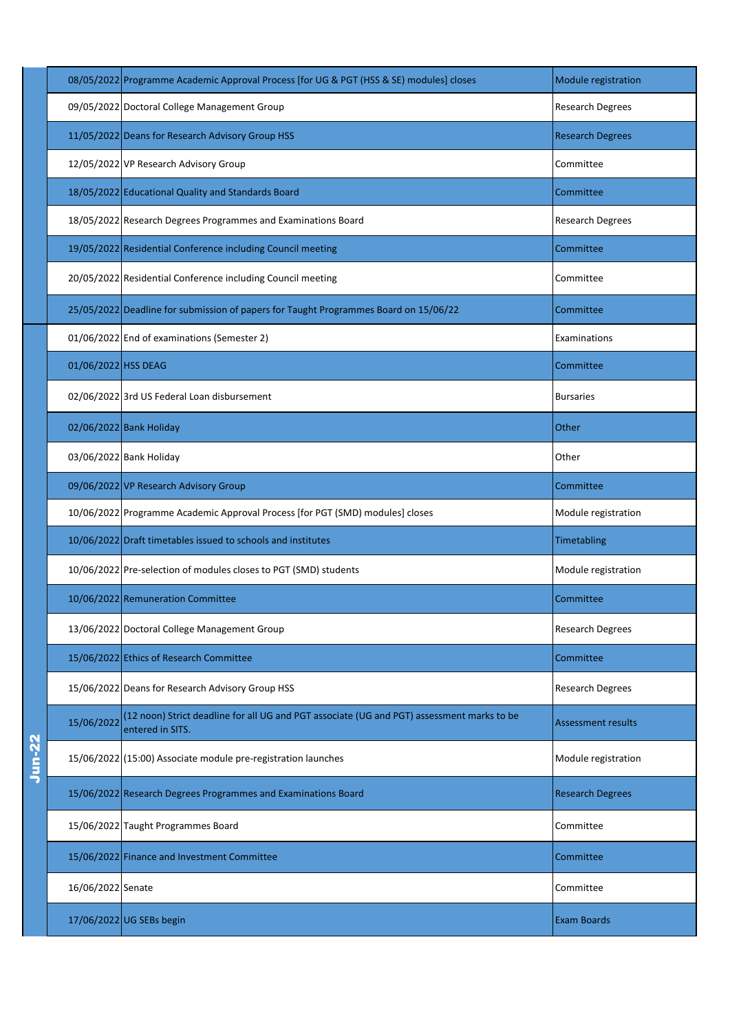|        |                     | 08/05/2022 Programme Academic Approval Process [for UG & PGT (HSS & SE) modules] closes                        | Module registration       |
|--------|---------------------|----------------------------------------------------------------------------------------------------------------|---------------------------|
|        |                     | 09/05/2022 Doctoral College Management Group                                                                   | Research Degrees          |
|        |                     | 11/05/2022 Deans for Research Advisory Group HSS                                                               | <b>Research Degrees</b>   |
|        |                     | 12/05/2022 VP Research Advisory Group                                                                          | Committee                 |
|        |                     | 18/05/2022 Educational Quality and Standards Board                                                             | Committee                 |
|        |                     | 18/05/2022 Research Degrees Programmes and Examinations Board                                                  | Research Degrees          |
|        |                     | 19/05/2022 Residential Conference including Council meeting                                                    | Committee                 |
|        |                     | 20/05/2022 Residential Conference including Council meeting                                                    | Committee                 |
|        |                     | 25/05/2022 Deadline for submission of papers for Taught Programmes Board on 15/06/22                           | Committee                 |
|        |                     | 01/06/2022 End of examinations (Semester 2)                                                                    | Examinations              |
|        | 01/06/2022 HSS DEAG |                                                                                                                | Committee                 |
|        |                     | 02/06/2022 3rd US Federal Loan disbursement                                                                    | <b>Bursaries</b>          |
|        |                     | 02/06/2022 Bank Holiday                                                                                        | Other                     |
|        |                     | 03/06/2022 Bank Holiday                                                                                        | Other                     |
|        |                     | 09/06/2022 VP Research Advisory Group                                                                          | Committee                 |
|        |                     | 10/06/2022 Programme Academic Approval Process [for PGT (SMD) modules] closes                                  | Module registration       |
|        |                     | 10/06/2022 Draft timetables issued to schools and institutes                                                   | Timetabling               |
|        |                     | 10/06/2022 Pre-selection of modules closes to PGT (SMD) students                                               | Module registration       |
|        |                     | 10/06/2022 Remuneration Committee                                                                              | Committee                 |
|        |                     | 13/06/2022 Doctoral College Management Group                                                                   | <b>Research Degrees</b>   |
|        |                     | 15/06/2022 Ethics of Research Committee                                                                        | Committee                 |
|        |                     | 15/06/2022 Deans for Research Advisory Group HSS                                                               | Research Degrees          |
|        | 15/06/2022          | (12 noon) Strict deadline for all UG and PGT associate (UG and PGT) assessment marks to be<br>entered in SITS. | <b>Assessment results</b> |
| Jun-22 |                     | 15/06/2022 (15:00) Associate module pre-registration launches                                                  | Module registration       |
|        |                     | 15/06/2022 Research Degrees Programmes and Examinations Board                                                  | <b>Research Degrees</b>   |
|        |                     | 15/06/2022 Taught Programmes Board                                                                             | Committee                 |
|        |                     | 15/06/2022 Finance and Investment Committee                                                                    | Committee                 |
|        | 16/06/2022 Senate   |                                                                                                                | Committee                 |
|        |                     | 17/06/2022 UG SEBs begin                                                                                       | <b>Exam Boards</b>        |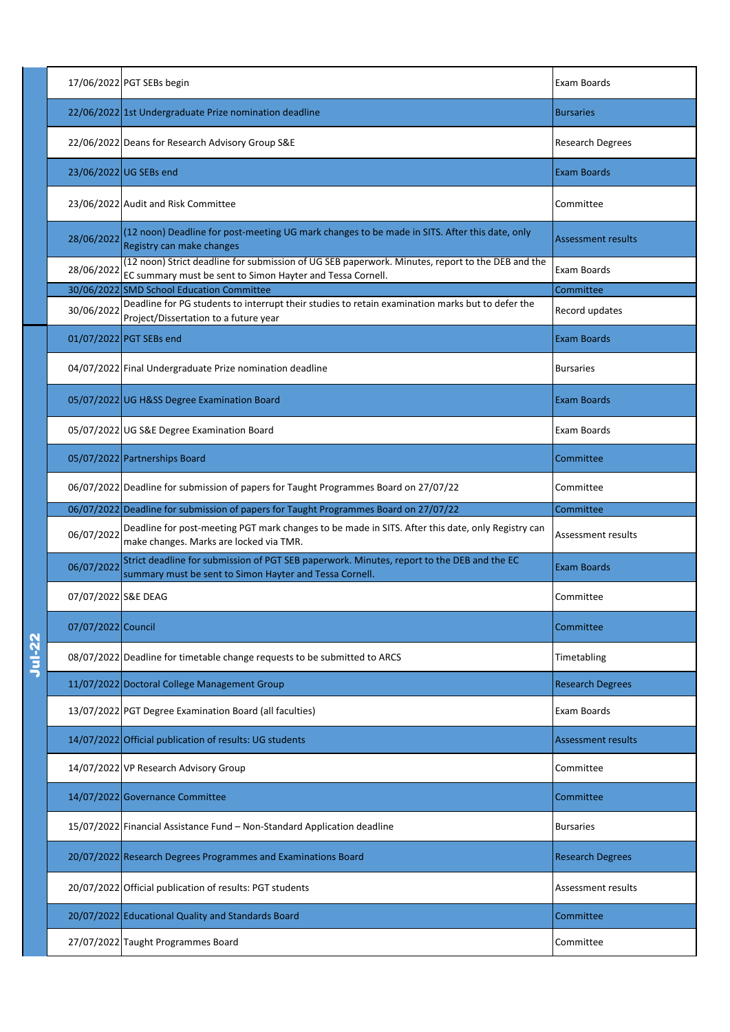|               |                     | 17/06/2022 PGT SEBs begin                                                                                                                                      | Exam Boards               |
|---------------|---------------------|----------------------------------------------------------------------------------------------------------------------------------------------------------------|---------------------------|
|               |                     | 22/06/2022 1st Undergraduate Prize nomination deadline                                                                                                         | <b>Bursaries</b>          |
|               |                     | 22/06/2022 Deans for Research Advisory Group S&E                                                                                                               | <b>Research Degrees</b>   |
|               |                     | 23/06/2022 UG SEBs end                                                                                                                                         | <b>Exam Boards</b>        |
|               |                     | 23/06/2022 Audit and Risk Committee                                                                                                                            | Committee                 |
|               | 28/06/2022          | (12 noon) Deadline for post-meeting UG mark changes to be made in SITS. After this date, only<br>Registry can make changes                                     | Assessment results        |
|               | 28/06/2022          | (12 noon) Strict deadline for submission of UG SEB paperwork. Minutes, report to the DEB and the<br>EC summary must be sent to Simon Hayter and Tessa Cornell. | Exam Boards               |
|               | 30/06/2022          | <b>SMD School Education Committee</b>                                                                                                                          | Committee                 |
|               | 30/06/2022          | Deadline for PG students to interrupt their studies to retain examination marks but to defer the<br>Project/Dissertation to a future year                      | Record updates            |
|               |                     | 01/07/2022 PGT SEBs end                                                                                                                                        | <b>Exam Boards</b>        |
|               |                     | 04/07/2022 Final Undergraduate Prize nomination deadline                                                                                                       | <b>Bursaries</b>          |
|               |                     | 05/07/2022 UG H&SS Degree Examination Board                                                                                                                    | <b>Exam Boards</b>        |
|               |                     | 05/07/2022 UG S&E Degree Examination Board                                                                                                                     | Exam Boards               |
|               |                     | 05/07/2022 Partnerships Board                                                                                                                                  | Committee                 |
|               |                     | 06/07/2022 Deadline for submission of papers for Taught Programmes Board on 27/07/22                                                                           | Committee                 |
|               |                     | 06/07/2022 Deadline for submission of papers for Taught Programmes Board on 27/07/22                                                                           | Committee                 |
|               | 06/07/2022          | Deadline for post-meeting PGT mark changes to be made in SITS. After this date, only Registry can<br>make changes. Marks are locked via TMR.                   | Assessment results        |
|               | 06/07/2022          | Strict deadline for submission of PGT SEB paperwork. Minutes, report to the DEB and the EC<br>summary must be sent to Simon Hayter and Tessa Cornell.          | Exam Boards               |
|               | 07/07/2022 S&E DEAG |                                                                                                                                                                | Committee                 |
|               | 07/07/2022 Council  |                                                                                                                                                                | Committee                 |
| <b>Jul-22</b> |                     | 08/07/2022 Deadline for timetable change requests to be submitted to ARCS                                                                                      | Timetabling               |
|               |                     | 11/07/2022 Doctoral College Management Group                                                                                                                   | <b>Research Degrees</b>   |
|               |                     | 13/07/2022 PGT Degree Examination Board (all faculties)                                                                                                        | Exam Boards               |
|               |                     | 14/07/2022 Official publication of results: UG students                                                                                                        | <b>Assessment results</b> |
|               |                     | 14/07/2022 VP Research Advisory Group                                                                                                                          | Committee                 |
|               |                     | 14/07/2022 Governance Committee                                                                                                                                | Committee                 |
|               |                     | 15/07/2022 Financial Assistance Fund - Non-Standard Application deadline                                                                                       | <b>Bursaries</b>          |
|               |                     | 20/07/2022 Research Degrees Programmes and Examinations Board                                                                                                  | <b>Research Degrees</b>   |
|               |                     | 20/07/2022 Official publication of results: PGT students                                                                                                       | Assessment results        |
|               |                     | 20/07/2022 Educational Quality and Standards Board                                                                                                             | Committee                 |
|               |                     | 27/07/2022 Taught Programmes Board                                                                                                                             | Committee                 |